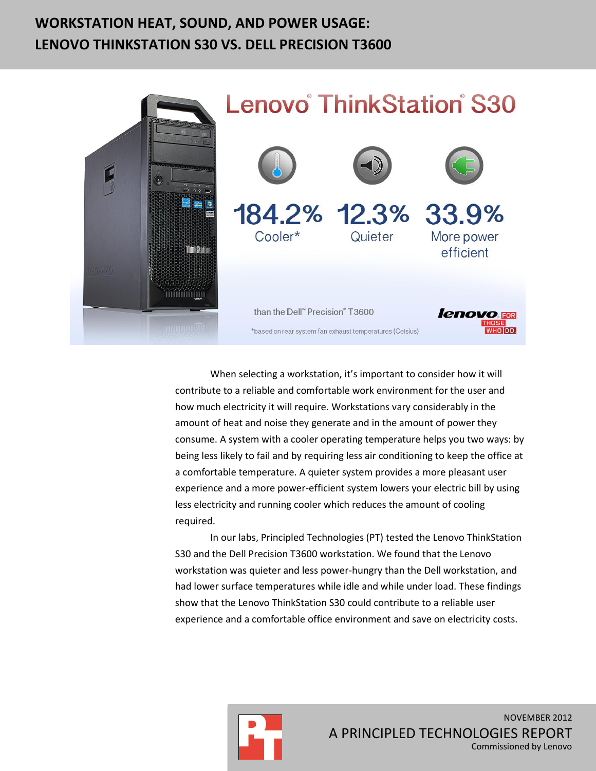# **WORKSTATION HEAT, SOUND, AND POWER USAGE: LENOVO THINKSTATION S30 VS. DELL PRECISION T3600**



When selecting a workstation, it's important to consider how it will contribute to a reliable and comfortable work environment for the user and how much electricity it will require. Workstations vary considerably in the amount of heat and noise they generate and in the amount of power they consume. A system with a cooler operating temperature helps you two ways: by being less likely to fail and by requiring less air conditioning to keep the office at a comfortable temperature. A quieter system provides a more pleasant user experience and a more power-efficient system lowers your electric bill by using less electricity and running cooler which reduces the amount of cooling required.

In our labs, Principled Technologies (PT) tested the Lenovo ThinkStation S30 and the Dell Precision T3600 workstation. We found that the Lenovo workstation was quieter and less power-hungry than the Dell workstation, and had lower surface temperatures while idle and while under load. These findings show that the Lenovo ThinkStation S30 could contribute to a reliable user experience and a comfortable office environment and save on electricity costs.

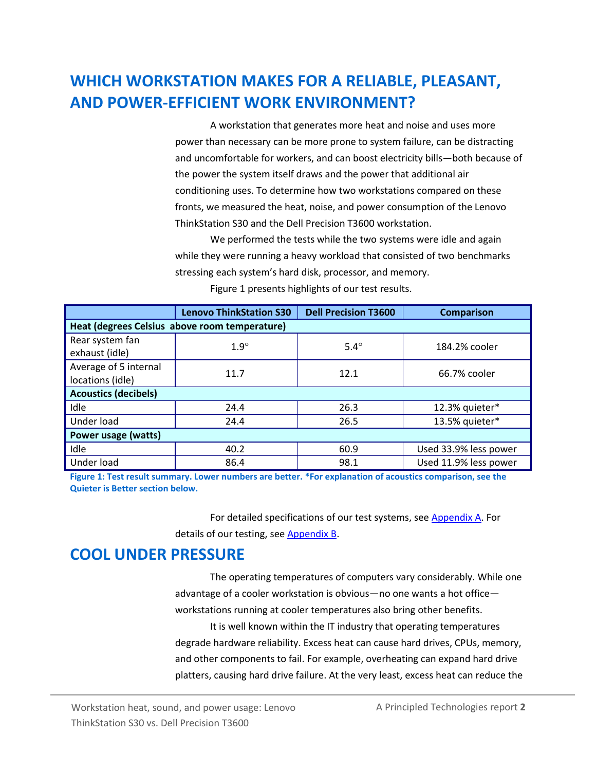# **WHICH WORKSTATION MAKES FOR A RELIABLE, PLEASANT, AND POWER-EFFICIENT WORK ENVIRONMENT?**

A workstation that generates more heat and noise and uses more power than necessary can be more prone to system failure, can be distracting and uncomfortable for workers, and can boost electricity bills—both because of the power the system itself draws and the power that additional air conditioning uses. To determine how two workstations compared on these fronts, we measured the heat, noise, and power consumption of the Lenovo ThinkStation S30 and the Dell Precision T3600 workstation.

We performed the tests while the two systems were idle and again while they were running a heavy workload that consisted of two benchmarks stressing each system's hard disk, processor, and memory.

|                                               | <b>Lenovo ThinkStation S30</b> | <b>Dell Precision T3600</b> | <b>Comparison</b>     |  |  |
|-----------------------------------------------|--------------------------------|-----------------------------|-----------------------|--|--|
| Heat (degrees Celsius above room temperature) |                                |                             |                       |  |  |
| Rear system fan<br>exhaust (idle)             | $1.9^\circ$                    | $5.4^\circ$                 | 184.2% cooler         |  |  |
| Average of 5 internal<br>locations (idle)     | 11.7                           | 12.1                        | 66.7% cooler          |  |  |
| <b>Acoustics (decibels)</b>                   |                                |                             |                       |  |  |
| Idle                                          | 24.4                           | 26.3                        | 12.3% quieter*        |  |  |
| Under load                                    | 24.4                           | 26.5                        | 13.5% quieter*        |  |  |
| Power usage (watts)                           |                                |                             |                       |  |  |
| Idle                                          | 40.2                           | 60.9                        | Used 33.9% less power |  |  |
| Under load                                    | 86.4                           | 98.1                        | Used 11.9% less power |  |  |

Figure 1 presents highlights of our test results.

**Figure 1: Test result summary. Lower numbers are better. \*For explanation of acoustics comparison, see the Quieter is Better section below.**

> For detailed specifications of our test systems, see [Appendix A.](#page-5-0) For details of our testing, see [Appendix B.](#page-8-0)

## **COOL UNDER PRESSURE**

The operating temperatures of computers vary considerably. While one advantage of a cooler workstation is obvious—no one wants a hot office workstations running at cooler temperatures also bring other benefits.

It is well known within the IT industry that operating temperatures degrade hardware reliability. Excess heat can cause hard drives, CPUs, memory, and other components to fail. For example, overheating can expand hard drive platters, causing hard drive failure. At the very least, excess heat can reduce the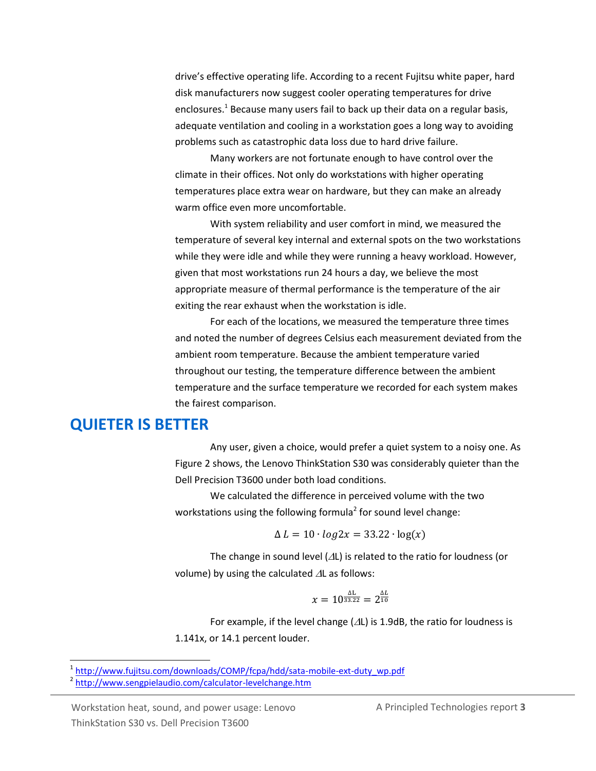drive's effective operating life. According to a recent Fujitsu white paper, hard disk manufacturers now suggest cooler operating temperatures for drive enclosures.<sup>1</sup> Because many users fail to back up their data on a regular basis, adequate ventilation and cooling in a workstation goes a long way to avoiding problems such as catastrophic data loss due to hard drive failure.

Many workers are not fortunate enough to have control over the climate in their offices. Not only do workstations with higher operating temperatures place extra wear on hardware, but they can make an already warm office even more uncomfortable.

With system reliability and user comfort in mind, we measured the temperature of several key internal and external spots on the two workstations while they were idle and while they were running a heavy workload. However, given that most workstations run 24 hours a day, we believe the most appropriate measure of thermal performance is the temperature of the air exiting the rear exhaust when the workstation is idle.

For each of the locations, we measured the temperature three times and noted the number of degrees Celsius each measurement deviated from the ambient room temperature. Because the ambient temperature varied throughout our testing, the temperature difference between the ambient temperature and the surface temperature we recorded for each system makes the fairest comparison.

### **QUIETER IS BETTER**

Any user, given a choice, would prefer a quiet system to a noisy one. As Figure 2 shows, the Lenovo ThinkStation S30 was considerably quieter than the Dell Precision T3600 under both load conditions.

We calculated the difference in perceived volume with the two workstations using the following formula<sup>2</sup> for sound level change:

$$
\Delta L = 10 \cdot log2x = 33.22 \cdot log(x)
$$

The change in sound level  $(\Delta L)$  is related to the ratio for loudness (or volume) by using the calculated  $\Delta L$  as follows:

$$
x=10^{\frac{\Delta \rm L}{33.22}}=2^{\frac{\Delta \rm L}{10}}
$$

For example, if the level change ( $\Delta L$ ) is 1.9dB, the ratio for loudness is 1.141x, or 14.1 percent louder.

Workstation heat, sound, and power usage: Lenovo **A** Principled Technologies report 3 ThinkStation S30 vs. Dell Precision T3600

 1 [http://www.fujitsu.com/downloads/COMP/fcpa/hdd/sata-mobile-ext-duty\\_wp.pdf](http://www.fujitsu.com/downloads/COMP/fcpa/hdd/sata-mobile-ext-duty_wp.pdf)

<sup>&</sup>lt;sup>2</sup> <http://www.sengpielaudio.com/calculator-levelchange.htm>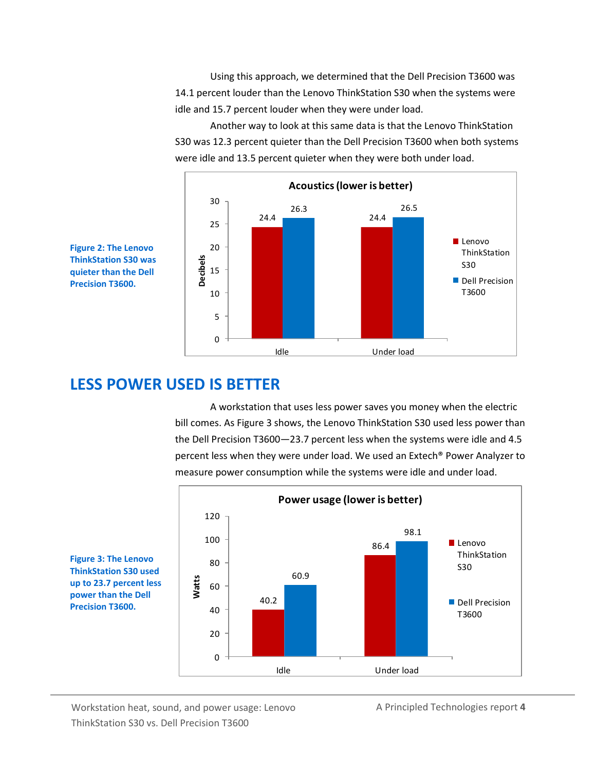Using this approach, we determined that the Dell Precision T3600 was 14.1 percent louder than the Lenovo ThinkStation S30 when the systems were idle and 15.7 percent louder when they were under load.

Another way to look at this same data is that the Lenovo ThinkStation S30 was 12.3 percent quieter than the Dell Precision T3600 when both systems were idle and 13.5 percent quieter when they were both under load.





### **LESS POWER USED IS BETTER**

A workstation that uses less power saves you money when the electric bill comes. As Figure 3 shows, the Lenovo ThinkStation S30 used less power than the Dell Precision T3600—23.7 percent less when the systems were idle and 4.5 percent less when they were under load. We used an Extech® Power Analyzer to measure power consumption while the systems were idle and under load.



**Figure 3: The Lenovo ThinkStation S30 used up to 23.7 percent less power than the Dell Precision T3600.**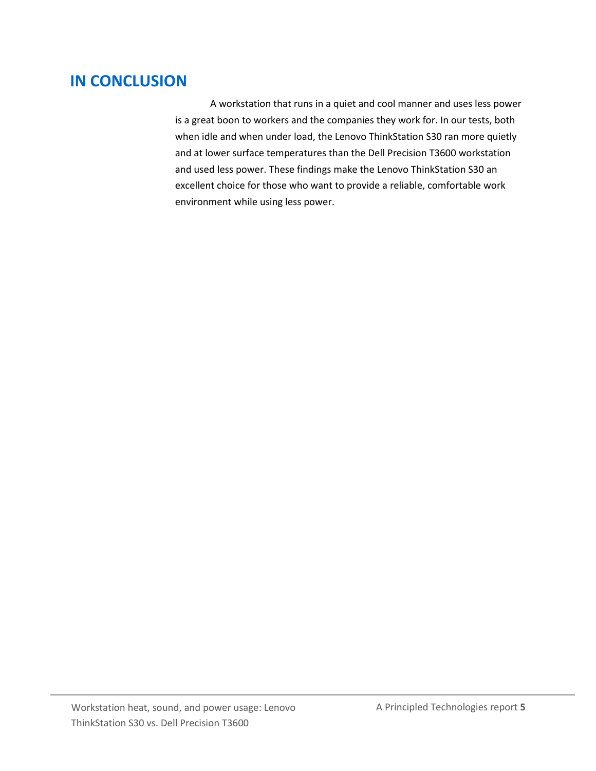## **IN CONCLUSION**

A workstation that runs in a quiet and cool manner and uses less power is a great boon to workers and the companies they work for. In our tests, both when idle and when under load, the Lenovo ThinkStation S30 ran more quietly and at lower surface temperatures than the Dell Precision T3600 workstation and used less power. These findings make the Lenovo ThinkStation S30 an excellent choice for those who want to provide a reliable, comfortable work environment while using less power.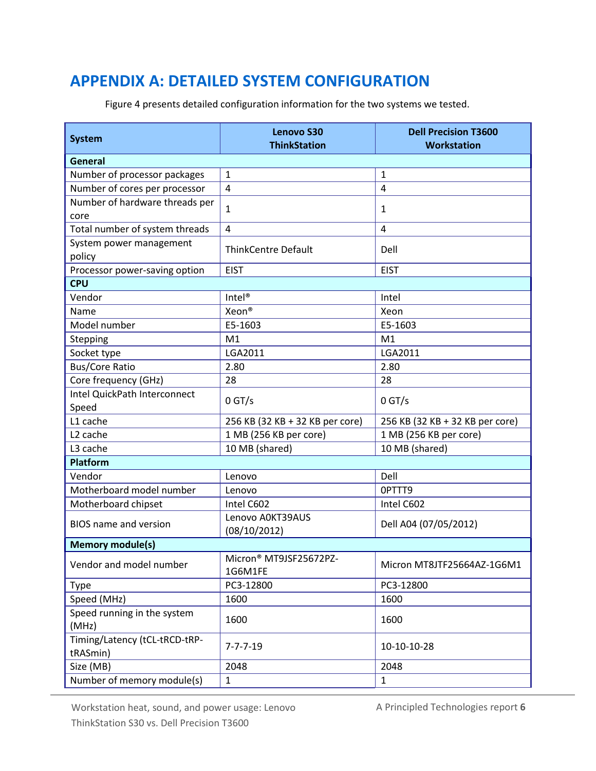# <span id="page-5-0"></span>**APPENDIX A: DETAILED SYSTEM CONFIGURATION**

**System Lenovo S30 ThinkStation Dell Precision T3600 Workstation General** Number of processor packages | 1 Number of cores per processor  $\begin{vmatrix} 4 \end{vmatrix}$  4 Number of hardware threads per core 1  $\vert$  1 Total number of system threads  $\begin{array}{|c|c|c|} 4 \end{array}$  4 System power management policy Dell number of ThinkCentre Default Processor power-saving option | EIST | EIST | EIST **CPU** Vendor Intel® Intel Name Records Records Name Records Name Records and  $\lambda$  Xeon® Model number **E5-1603** E5-1603 Stepping M1 M1 M1 Socket type **LGA2011** LGA2011 **LGA2011** Bus/Core Ratio 2.80 2.80 2.80 Core frequency (GHz) 28 28 Intel QuickPath Interconnect speed 0 GT/s 0 GT/s L1 cache 256 KB (32 KB + 32 KB per core) 256 KB (32 KB + 32 KB per core) L2 cache 1 MB (256 KB per core) 1 MB (256 KB per core) L3 cache 10 MB (shared) 10 MB (shared) 10 MB (shared) **Platform** Vendor Lenovo Dell Motherboard model number Lenovo 2009 | 0PTTT9 Motherboard chipset | Intel C602 | Intel C602 BIOS name and version <br>(08/10/2012) Dell A04 (07/05/2012) **Memory module(s)** Vendor and model number Micron® MT9JSF25672PZ-<br>1G6M1FE Micron MT8JTF25664AZ-1G6M1 Type PC3-12800 PC3-12800 Speed (MHz) 1600 1600 1600 Speed running in the system  $(MHz)$  1600  $(1600)$ Timing/Latency (tCL-tRCD-tRPtRASmin)  $10^{-10-10-28}$ Size (MB) 2048 2048 Number of memory module(s)  $\begin{array}{|c|c|c|c|c|} \hline 1 & 1 \\ \hline \end{array}$ 

Figure 4 presents detailed configuration information for the two systems we tested.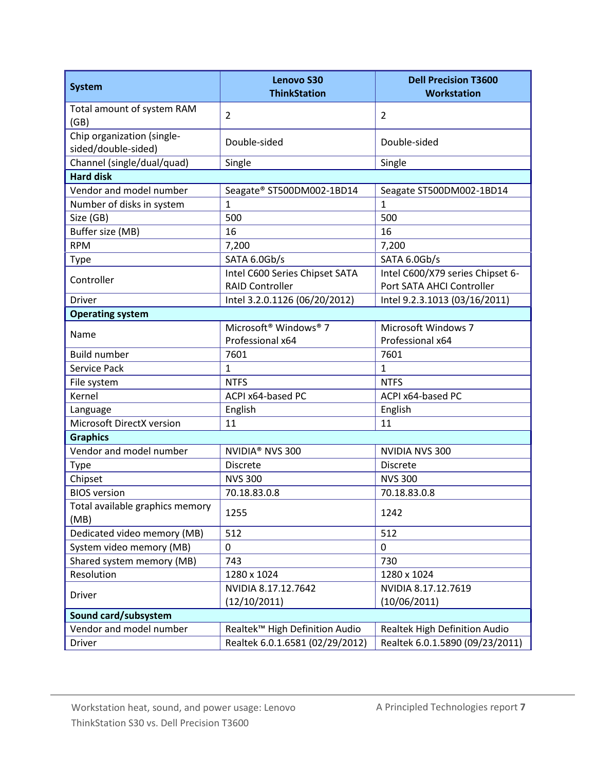| <b>System</b>                                     | <b>Lenovo S30</b><br><b>ThinkStation</b>      | <b>Dell Precision T3600</b><br><b>Workstation</b> |  |  |  |
|---------------------------------------------------|-----------------------------------------------|---------------------------------------------------|--|--|--|
| Total amount of system RAM<br>(GB)                | $\overline{2}$                                | $\overline{2}$                                    |  |  |  |
| Chip organization (single-<br>sided/double-sided) | Double-sided                                  | Double-sided                                      |  |  |  |
| Channel (single/dual/quad)                        | Single                                        | Single                                            |  |  |  |
| <b>Hard disk</b>                                  |                                               |                                                   |  |  |  |
| Vendor and model number                           | Seagate® ST500DM002-1BD14                     | Seagate ST500DM002-1BD14                          |  |  |  |
| Number of disks in system                         | $\mathbf{1}$                                  | $\overline{1}$                                    |  |  |  |
| Size (GB)                                         | 500                                           | 500                                               |  |  |  |
| Buffer size (MB)                                  | 16                                            | 16                                                |  |  |  |
| <b>RPM</b>                                        | 7,200                                         | 7,200                                             |  |  |  |
| <b>Type</b>                                       | SATA 6.0Gb/s                                  | SATA 6.0Gb/s                                      |  |  |  |
|                                                   | Intel C600 Series Chipset SATA                | Intel C600/X79 series Chipset 6-                  |  |  |  |
| Controller                                        | <b>RAID Controller</b>                        | Port SATA AHCI Controller                         |  |  |  |
| <b>Driver</b>                                     | Intel 3.2.0.1126 (06/20/2012)                 | Intel 9.2.3.1013 (03/16/2011)                     |  |  |  |
| <b>Operating system</b>                           |                                               |                                                   |  |  |  |
| Name                                              | Microsoft <sup>®</sup> Windows <sup>®</sup> 7 | Microsoft Windows 7                               |  |  |  |
|                                                   | Professional x64                              | Professional x64                                  |  |  |  |
| <b>Build number</b>                               | 7601                                          | 7601                                              |  |  |  |
| Service Pack                                      | $\mathbf{1}$                                  | $\mathbf{1}$                                      |  |  |  |
| File system                                       | <b>NTFS</b>                                   | <b>NTFS</b>                                       |  |  |  |
| Kernel                                            | ACPI x64-based PC                             | ACPI x64-based PC                                 |  |  |  |
| Language                                          | English                                       | English                                           |  |  |  |
| Microsoft DirectX version                         | 11                                            | 11                                                |  |  |  |
| <b>Graphics</b>                                   |                                               |                                                   |  |  |  |
| Vendor and model number                           | NVIDIA <sup>®</sup> NVS 300                   | <b>NVIDIA NVS 300</b>                             |  |  |  |
| <b>Type</b>                                       | <b>Discrete</b>                               | Discrete                                          |  |  |  |
| Chipset                                           | <b>NVS 300</b>                                | <b>NVS 300</b>                                    |  |  |  |
| <b>BIOS</b> version                               | 70.18.83.0.8                                  | 70.18.83.0.8                                      |  |  |  |
| Total available graphics memory<br>(MB)           | 1255                                          | 1242                                              |  |  |  |
| Dedicated video memory (MB)                       | 512                                           | 512                                               |  |  |  |
| System video memory (MB)                          | $\mathbf 0$                                   | 0                                                 |  |  |  |
| Shared system memory (MB)                         | 743                                           | 730                                               |  |  |  |
| Resolution                                        | 1280 x 1024                                   | 1280 x 1024                                       |  |  |  |
|                                                   | NVIDIA 8.17.12.7642                           | NVIDIA 8.17.12.7619                               |  |  |  |
| <b>Driver</b>                                     | (12/10/2011)                                  | (10/06/2011)                                      |  |  |  |
| Sound card/subsystem                              |                                               |                                                   |  |  |  |
| Vendor and model number                           | Realtek™ High Definition Audio                | Realtek High Definition Audio                     |  |  |  |
| <b>Driver</b>                                     | Realtek 6.0.1.6581 (02/29/2012)               | Realtek 6.0.1.5890 (09/23/2011)                   |  |  |  |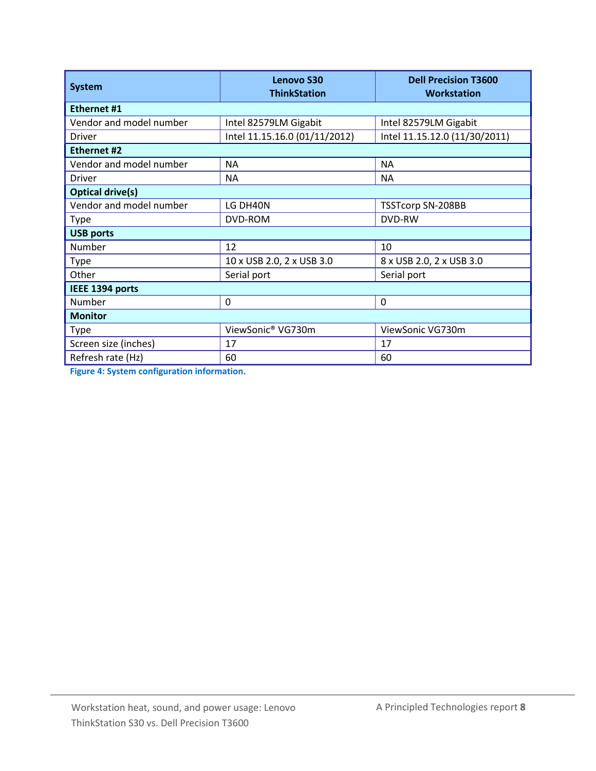| <b>System</b>           | Lenovo S30<br><b>ThinkStation</b> | <b>Dell Precision T3600</b><br>Workstation |  |  |  |
|-------------------------|-----------------------------------|--------------------------------------------|--|--|--|
| Ethernet #1             |                                   |                                            |  |  |  |
| Vendor and model number | Intel 82579LM Gigabit             | Intel 82579LM Gigabit                      |  |  |  |
| Driver                  | Intel 11.15.16.0 (01/11/2012)     | Intel 11.15.12.0 (11/30/2011)              |  |  |  |
| <b>Ethernet #2</b>      |                                   |                                            |  |  |  |
| Vendor and model number | <b>NA</b>                         | <b>NA</b>                                  |  |  |  |
| Driver                  | NA.                               | <b>NA</b>                                  |  |  |  |
| <b>Optical drive(s)</b> |                                   |                                            |  |  |  |
| Vendor and model number | LG DH40N                          | <b>TSSTcorp SN-208BB</b>                   |  |  |  |
| <b>Type</b>             | DVD-ROM                           | DVD-RW                                     |  |  |  |
| <b>USB ports</b>        |                                   |                                            |  |  |  |
| Number                  | 12                                | 10                                         |  |  |  |
| <b>Type</b>             | 10 x USB 2.0, 2 x USB 3.0         | 8 x USB 2.0, 2 x USB 3.0                   |  |  |  |
| Other                   | Serial port                       | Serial port                                |  |  |  |
| IEEE 1394 ports         |                                   |                                            |  |  |  |
| Number                  | 0                                 | $\Omega$                                   |  |  |  |
| <b>Monitor</b>          |                                   |                                            |  |  |  |
| <b>Type</b>             | ViewSonic® VG730m                 | ViewSonic VG730m                           |  |  |  |
| Screen size (inches)    | 17                                | 17                                         |  |  |  |
| Refresh rate (Hz)       | 60                                | 60                                         |  |  |  |

**Figure 4: System configuration information.**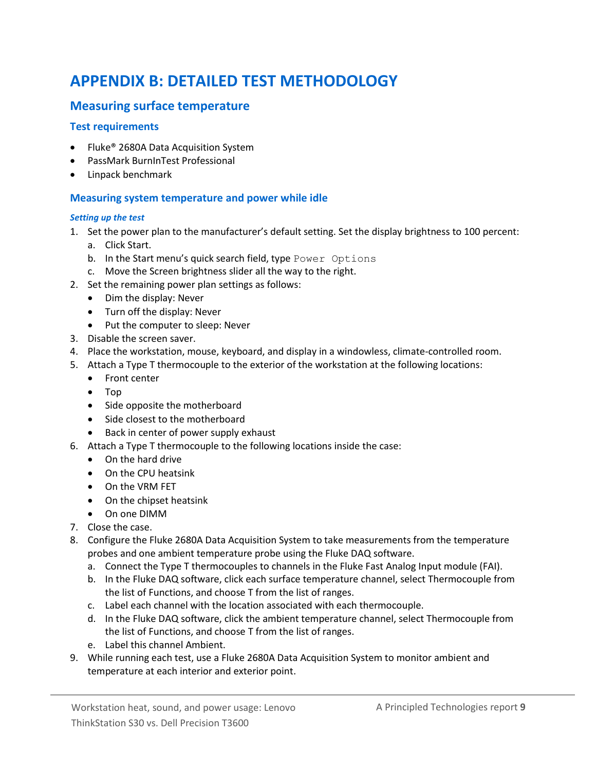# <span id="page-8-0"></span>**APPENDIX B: DETAILED TEST METHODOLOGY**

### **Measuring surface temperature**

#### **Test requirements**

- Fluke<sup>®</sup> 2680A Data Acquisition System
- PassMark BurnInTest Professional
- Linpack benchmark

#### **Measuring system temperature and power while idle**

#### *Setting up the test*

- 1. Set the power plan to the manufacturer's default setting. Set the display brightness to 100 percent:
	- a. Click Start.
	- b. In the Start menu's quick search field, type Power Options
	- c. Move the Screen brightness slider all the way to the right.
- 2. Set the remaining power plan settings as follows:
	- Dim the display: Never
	- Turn off the display: Never
	- Put the computer to sleep: Never
- 3. Disable the screen saver.
- 4. Place the workstation, mouse, keyboard, and display in a windowless, climate-controlled room.
- 5. Attach a Type T thermocouple to the exterior of the workstation at the following locations:
	- Front center
	- Top
	- Side opposite the motherboard
	- Side closest to the motherboard
	- Back in center of power supply exhaust
- 6. Attach a Type T thermocouple to the following locations inside the case:
	- On the hard drive
	- On the CPU heatsink
	- On the VRM FET
	- On the chipset heatsink
	- On one DIMM
- 7. Close the case.
- 8. Configure the Fluke 2680A Data Acquisition System to take measurements from the temperature probes and one ambient temperature probe using the Fluke DAQ software.
	- a. Connect the Type T thermocouples to channels in the Fluke Fast Analog Input module (FAI).
	- b. In the Fluke DAQ software, click each surface temperature channel, select Thermocouple from the list of Functions, and choose T from the list of ranges.
	- c. Label each channel with the location associated with each thermocouple.
	- d. In the Fluke DAQ software, click the ambient temperature channel, select Thermocouple from the list of Functions, and choose T from the list of ranges.
	- e. Label this channel Ambient.
- 9. While running each test, use a Fluke 2680A Data Acquisition System to monitor ambient and temperature at each interior and exterior point.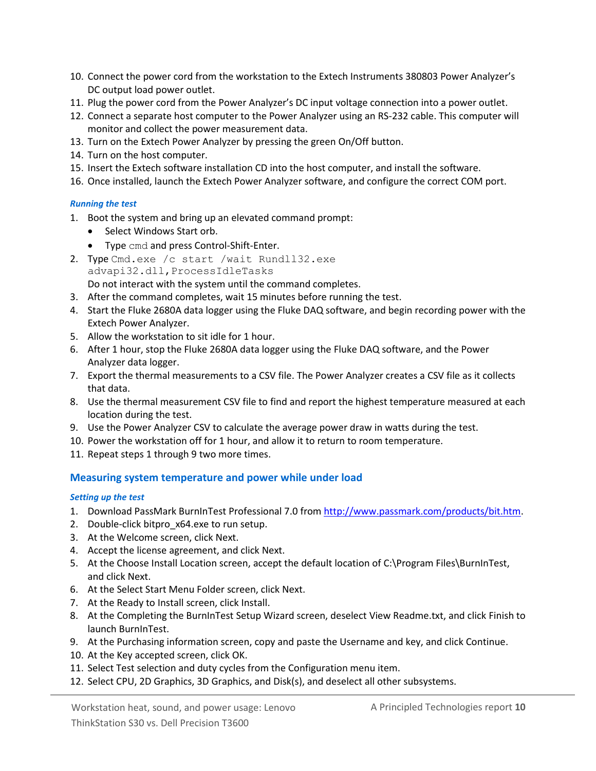- 10. Connect the power cord from the workstation to the Extech Instruments 380803 Power Analyzer's DC output load power outlet.
- 11. Plug the power cord from the Power Analyzer's DC input voltage connection into a power outlet.
- 12. Connect a separate host computer to the Power Analyzer using an RS-232 cable. This computer will monitor and collect the power measurement data.
- 13. Turn on the Extech Power Analyzer by pressing the green On/Off button.
- 14. Turn on the host computer.
- 15. Insert the Extech software installation CD into the host computer, and install the software.
- 16. Once installed, launch the Extech Power Analyzer software, and configure the correct COM port.

#### *Running the test*

- 1. Boot the system and bring up an elevated command prompt:
	- Select Windows Start orb.
	- Type cmd and press Control-Shift-Enter.
- 2. Type Cmd.exe /c start /wait Rundll32.exe advapi32.dll,ProcessIdleTasks Do not interact with the system until the command completes.
- 3. After the command completes, wait 15 minutes before running the test.
- 4. Start the Fluke 2680A data logger using the Fluke DAQ software, and begin recording power with the Extech Power Analyzer.
- 5. Allow the workstation to sit idle for 1 hour.
- 6. After 1 hour, stop the Fluke 2680A data logger using the Fluke DAQ software, and the Power Analyzer data logger.
- 7. Export the thermal measurements to a CSV file. The Power Analyzer creates a CSV file as it collects that data.
- 8. Use the thermal measurement CSV file to find and report the highest temperature measured at each location during the test.
- 9. Use the Power Analyzer CSV to calculate the average power draw in watts during the test.
- 10. Power the workstation off for 1 hour, and allow it to return to room temperature.
- 11. Repeat steps 1 through 9 two more times.

#### **Measuring system temperature and power while under load**

#### *Setting up the test*

- 1. Download PassMark BurnInTest Professional 7.0 fro[m http://www.passmark.com/products/bit.htm.](http://www.passmark.com/products/bit.htm)
- 2. Double-click bitpro\_x64.exe to run setup.
- 3. At the Welcome screen, click Next.
- 4. Accept the license agreement, and click Next.
- 5. At the Choose Install Location screen, accept the default location of C:\Program Files\BurnInTest, and click Next.
- 6. At the Select Start Menu Folder screen, click Next.
- 7. At the Ready to Install screen, click Install.
- 8. At the Completing the BurnInTest Setup Wizard screen, deselect View Readme.txt, and click Finish to launch BurnInTest.
- 9. At the Purchasing information screen, copy and paste the Username and key, and click Continue.
- 10. At the Key accepted screen, click OK.
- 11. Select Test selection and duty cycles from the Configuration menu item.
- 12. Select CPU, 2D Graphics, 3D Graphics, and Disk(s), and deselect all other subsystems.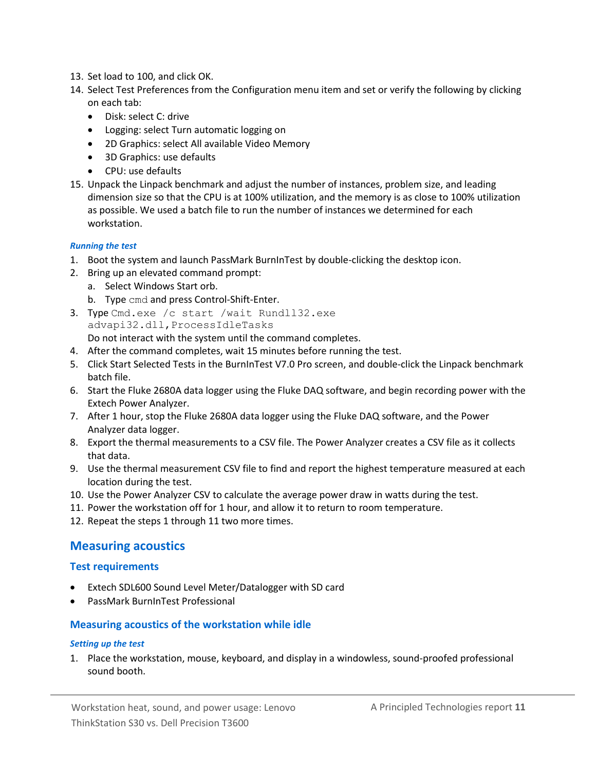- 13. Set load to 100, and click OK.
- 14. Select Test Preferences from the Configuration menu item and set or verify the following by clicking on each tab:
	- Disk: select C: drive
	- Logging: select Turn automatic logging on
	- 2D Graphics: select All available Video Memory
	- 3D Graphics: use defaults
	- CPU: use defaults
- 15. Unpack the Linpack benchmark and adjust the number of instances, problem size, and leading dimension size so that the CPU is at 100% utilization, and the memory is as close to 100% utilization as possible. We used a batch file to run the number of instances we determined for each workstation.

#### *Running the test*

- 1. Boot the system and launch PassMark BurnInTest by double-clicking the desktop icon.
- 2. Bring up an elevated command prompt:
	- a. Select Windows Start orb.
	- b. Type cmd and press Control-Shift-Enter.
- 3. Type Cmd.exe /c start /wait Rundll32.exe advapi32.dll,ProcessIdleTasks Do not interact with the system until the command completes.
- 4. After the command completes, wait 15 minutes before running the test.
- 5. Click Start Selected Tests in the BurnInTest V7.0 Pro screen, and double-click the Linpack benchmark batch file.
- 6. Start the Fluke 2680A data logger using the Fluke DAQ software, and begin recording power with the Extech Power Analyzer.
- 7. After 1 hour, stop the Fluke 2680A data logger using the Fluke DAQ software, and the Power Analyzer data logger.
- 8. Export the thermal measurements to a CSV file. The Power Analyzer creates a CSV file as it collects that data.
- 9. Use the thermal measurement CSV file to find and report the highest temperature measured at each location during the test.
- 10. Use the Power Analyzer CSV to calculate the average power draw in watts during the test.
- 11. Power the workstation off for 1 hour, and allow it to return to room temperature.
- 12. Repeat the steps 1 through 11 two more times.

#### **Measuring acoustics**

#### **Test requirements**

- Extech SDL600 Sound Level Meter/Datalogger with SD card
- PassMark BurnInTest Professional

#### **Measuring acoustics of the workstation while idle**

#### *Setting up the test*

1. Place the workstation, mouse, keyboard, and display in a windowless, sound-proofed professional sound booth.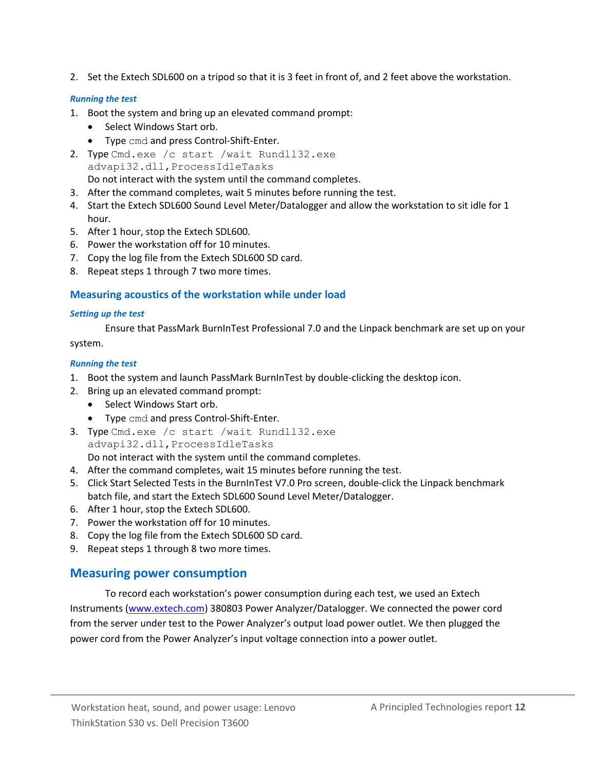2. Set the Extech SDL600 on a tripod so that it is 3 feet in front of, and 2 feet above the workstation.

#### *Running the test*

- 1. Boot the system and bring up an elevated command prompt:
	- Select Windows Start orb.
	- Type cmd and press Control-Shift-Enter.
- 2. Type Cmd.exe /c start /wait Rundll32.exe advapi32.dll,ProcessIdleTasks Do not interact with the system until the command completes.
- 3. After the command completes, wait 5 minutes before running the test.
- 4. Start the Extech SDL600 Sound Level Meter/Datalogger and allow the workstation to sit idle for 1 hour.
- 5. After 1 hour, stop the Extech SDL600.
- 6. Power the workstation off for 10 minutes.
- 7. Copy the log file from the Extech SDL600 SD card.
- 8. Repeat steps 1 through 7 two more times.

#### **Measuring acoustics of the workstation while under load**

#### *Setting up the test*

Ensure that PassMark BurnInTest Professional 7.0 and the Linpack benchmark are set up on your system.

#### *Running the test*

- 1. Boot the system and launch PassMark BurnInTest by double-clicking the desktop icon.
- 2. Bring up an elevated command prompt:
	- Select Windows Start orb.
	- Type cmd and press Control-Shift-Enter.
- 3. Type Cmd.exe /c start /wait Rundll32.exe advapi32.dll,ProcessIdleTasks Do not interact with the system until the command completes.
- 4. After the command completes, wait 15 minutes before running the test.
- 5. Click Start Selected Tests in the BurnInTest V7.0 Pro screen, double-click the Linpack benchmark batch file, and start the Extech SDL600 Sound Level Meter/Datalogger.
- 6. After 1 hour, stop the Extech SDL600.
- 7. Power the workstation off for 10 minutes.
- 8. Copy the log file from the Extech SDL600 SD card.
- 9. Repeat steps 1 through 8 two more times.

### **Measuring power consumption**

To record each workstation's power consumption during each test, we used an Extech Instruments [\(www.extech.com\)](http://www.extech.com/) 380803 Power Analyzer/Datalogger. We connected the power cord from the server under test to the Power Analyzer's output load power outlet. We then plugged the power cord from the Power Analyzer's input voltage connection into a power outlet.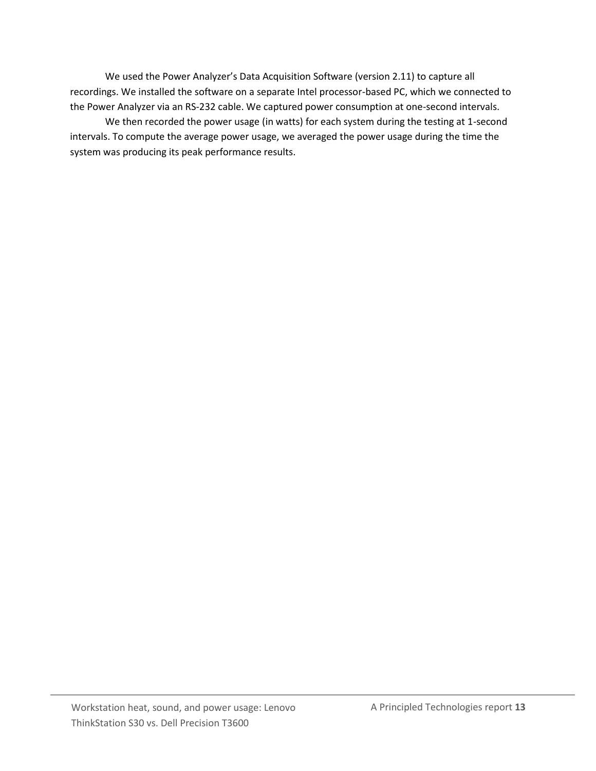We used the Power Analyzer's Data Acquisition Software (version 2.11) to capture all recordings. We installed the software on a separate Intel processor-based PC, which we connected to the Power Analyzer via an RS-232 cable. We captured power consumption at one-second intervals.

We then recorded the power usage (in watts) for each system during the testing at 1-second intervals. To compute the average power usage, we averaged the power usage during the time the system was producing its peak performance results.